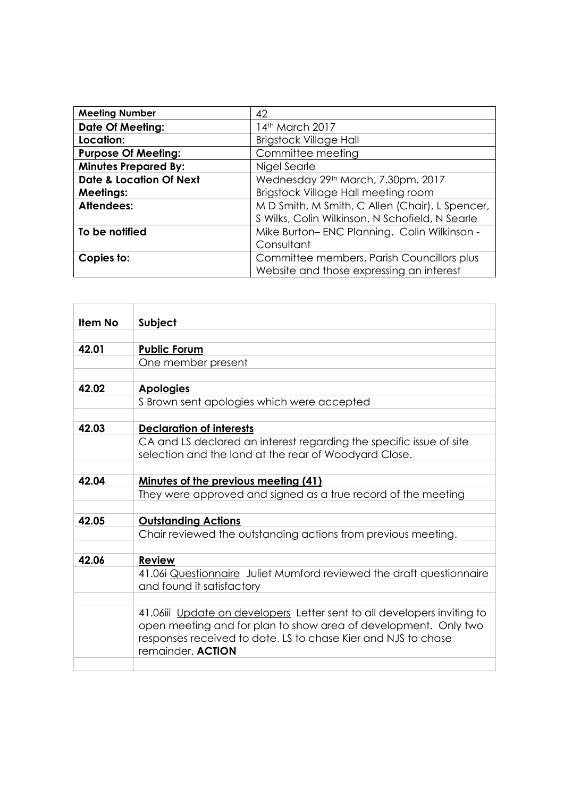| <b>Meeting Number</b>              | 42                                              |
|------------------------------------|-------------------------------------------------|
| <b>Date Of Meeting:</b>            | 14th March 2017                                 |
| Location:                          | <b>Brigstock Village Hall</b>                   |
| <b>Purpose Of Meeting:</b>         | Committee meeting                               |
| <b>Minutes Prepared By:</b>        | Nigel Searle                                    |
| <b>Date &amp; Location Of Next</b> | Wednesday 29th March, 7.30pm. 2017              |
| <b>Meetings:</b>                   | Brigstock Village Hall meeting room             |
| <b>Attendees:</b>                  | M D Smith, M Smith, C Allen (Chair), L Spencer, |
|                                    | S Wilks, Colin Wilkinson, N Schofield, N Searle |
| To be notified                     | Mike Burton-ENC Planning. Colin Wilkinson -     |
|                                    | Consultant                                      |
| Copies to:                         | Committee members, Parish Councillors plus      |
|                                    | Website and those expressing an interest        |

| <b>Item No</b> | <b>Subject</b>                                                          |
|----------------|-------------------------------------------------------------------------|
|                |                                                                         |
| 42.01          | <b>Public Forum</b>                                                     |
|                | One member present                                                      |
|                |                                                                         |
| 42.02          | <b>Apologies</b>                                                        |
|                | S Brown sent apologies which were accepted                              |
|                |                                                                         |
| 42.03          | <b>Declaration of interests</b>                                         |
|                | CA and LS declared an interest regarding the specific issue of site     |
|                | selection and the land at the rear of Woodyard Close.                   |
|                |                                                                         |
| 42.04          | <u>Minutes of the previous meeting (41)</u>                             |
|                | They were approved and signed as a true record of the meeting           |
|                |                                                                         |
| 42.05          | <b>Outstanding Actions</b>                                              |
|                | Chair reviewed the outstanding actions from previous meeting.           |
|                |                                                                         |
| 42.06          | <b>Review</b>                                                           |
|                | 41.06 Questionnaire Juliet Mumford reviewed the draft questionnaire     |
|                | and found it satisfactory                                               |
|                |                                                                         |
|                | 41.06iii Update on developers Letter sent to all developers inviting to |
|                | open meeting and for plan to show area of development. Only two         |
|                | responses received to date. LS to chase Kier and NJS to chase           |
|                | remainder. <b>ACTION</b>                                                |
|                |                                                                         |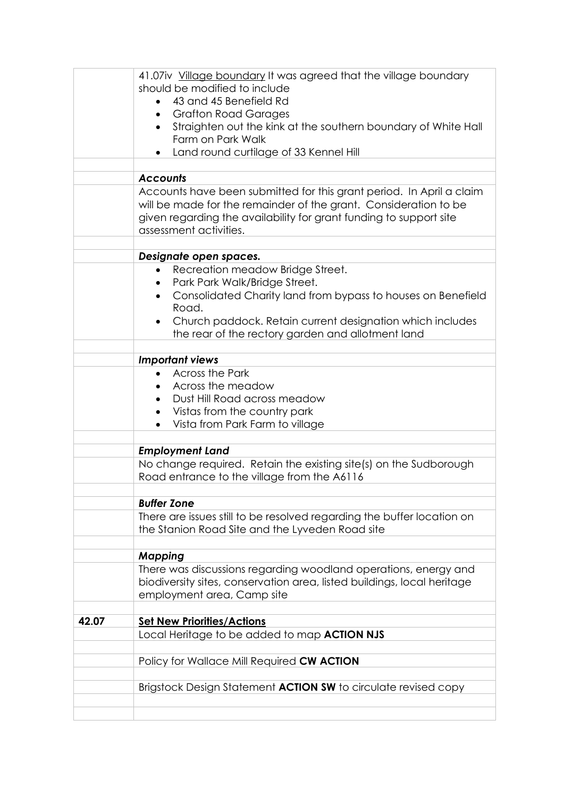|       | 41.07iv Village boundary It was agreed that the village boundary        |
|-------|-------------------------------------------------------------------------|
|       | should be modified to include                                           |
|       | 43 and 45 Benefield Rd                                                  |
|       | <b>Grafton Road Garages</b><br>$\bullet$                                |
|       | Straighten out the kink at the southern boundary of White Hall          |
|       | Farm on Park Walk                                                       |
|       | Land round curtilage of 33 Kennel Hill<br>$\bullet$                     |
|       |                                                                         |
|       | <b>Accounts</b>                                                         |
|       | Accounts have been submitted for this grant period. In April a claim    |
|       | will be made for the remainder of the grant. Consideration to be        |
|       | given regarding the availability for grant funding to support site      |
|       | assessment activities.                                                  |
|       |                                                                         |
|       | Designate open spaces.                                                  |
|       | Recreation meadow Bridge Street.                                        |
|       | Park Park Walk/Bridge Street.                                           |
|       | Consolidated Charity land from bypass to houses on Benefield            |
|       | Road.                                                                   |
|       | Church paddock. Retain current designation which includes               |
|       | the rear of the rectory garden and allotment land                       |
|       |                                                                         |
|       | <b>Important views</b>                                                  |
|       | <b>Across the Park</b>                                                  |
|       | Across the meadow                                                       |
|       | Dust Hill Road across meadow                                            |
|       | Vistas from the country park                                            |
|       | Vista from Park Farm to village                                         |
|       |                                                                         |
|       | <b>Employment Land</b>                                                  |
|       | No change required. Retain the existing site(s) on the Sudborough       |
|       | Road entrance to the village from the A6116                             |
|       |                                                                         |
|       | <b>Buffer Zone</b>                                                      |
|       | There are issues still to be resolved regarding the buffer location on  |
|       | the Stanion Road Site and the Lyveden Road site                         |
|       |                                                                         |
|       | <b>Mapping</b>                                                          |
|       | There was discussions regarding woodland operations, energy and         |
|       | biodiversity sites, conservation area, listed buildings, local heritage |
|       | employment area, Camp site                                              |
|       |                                                                         |
| 42.07 | <b>Set New Priorities/Actions</b>                                       |
|       | Local Heritage to be added to map <b>ACTION NJS</b>                     |
|       |                                                                         |
|       | Policy for Wallace Mill Required CW ACTION                              |
|       |                                                                         |
|       | Brigstock Design Statement <b>ACTION SW</b> to circulate revised copy   |
|       |                                                                         |
|       |                                                                         |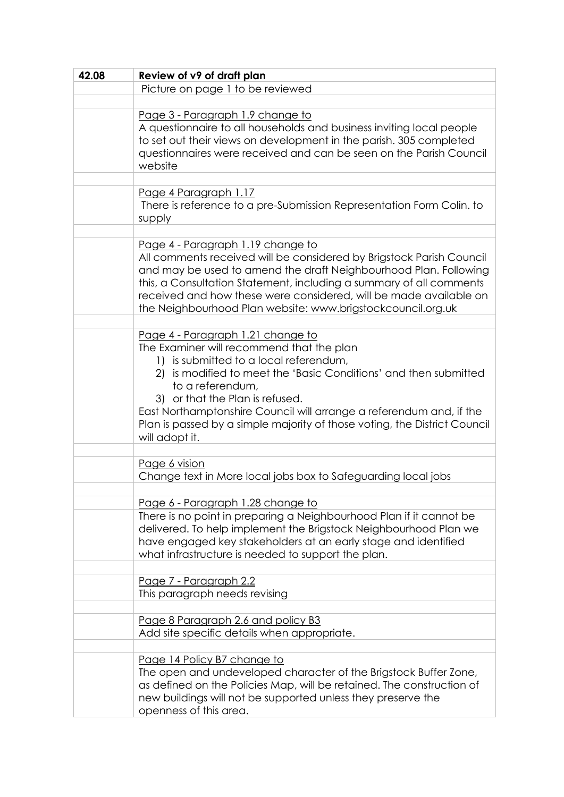| 42.08 | Review of v9 of draft plan                                                                                                                                                                                                                                                                                                                                                               |
|-------|------------------------------------------------------------------------------------------------------------------------------------------------------------------------------------------------------------------------------------------------------------------------------------------------------------------------------------------------------------------------------------------|
|       | Picture on page 1 to be reviewed                                                                                                                                                                                                                                                                                                                                                         |
|       |                                                                                                                                                                                                                                                                                                                                                                                          |
|       | Page 3 - Paragraph 1.9 change to<br>A questionnaire to all households and business inviting local people<br>to set out their views on development in the parish. 305 completed<br>questionnaires were received and can be seen on the Parish Council<br>website                                                                                                                          |
|       |                                                                                                                                                                                                                                                                                                                                                                                          |
|       | Page 4 Paragraph 1.17<br>There is reference to a pre-Submission Representation Form Colin. to<br>supply                                                                                                                                                                                                                                                                                  |
|       |                                                                                                                                                                                                                                                                                                                                                                                          |
|       | Page 4 - Paragraph 1.19 change to<br>All comments received will be considered by Brigstock Parish Council<br>and may be used to amend the draft Neighbourhood Plan. Following<br>this, a Consultation Statement, including a summary of all comments<br>received and how these were considered, will be made available on<br>the Neighbourhood Plan website: www.brigstockcouncil.org.uk |
|       | Page 4 - Paragraph 1.21 change to                                                                                                                                                                                                                                                                                                                                                        |
|       | The Examiner will recommend that the plan<br>1) is submitted to a local referendum,<br>2) is modified to meet the 'Basic Conditions' and then submitted<br>to a referendum,<br>3) or that the Plan is refused.<br>East Northamptonshire Council will arrange a referendum and, if the<br>Plan is passed by a simple majority of those voting, the District Council<br>will adopt it.     |
|       |                                                                                                                                                                                                                                                                                                                                                                                          |
|       | Page 6 vision<br>Change text in More local jobs box to Safeguarding local jobs                                                                                                                                                                                                                                                                                                           |
|       |                                                                                                                                                                                                                                                                                                                                                                                          |
|       | Page 6 - Paragraph 1.28 change to<br>There is no point in preparing a Neighbourhood Plan if it cannot be<br>delivered. To help implement the Brigstock Neighbourhood Plan we<br>have engaged key stakeholders at an early stage and identified<br>what infrastructure is needed to support the plan.                                                                                     |
|       | Page 7 - Paragraph 2.2                                                                                                                                                                                                                                                                                                                                                                   |
|       | This paragraph needs revising                                                                                                                                                                                                                                                                                                                                                            |
|       |                                                                                                                                                                                                                                                                                                                                                                                          |
|       | Page 8 Paragraph 2.6 and policy B3<br>Add site specific details when appropriate.                                                                                                                                                                                                                                                                                                        |
|       |                                                                                                                                                                                                                                                                                                                                                                                          |
|       | Page 14 Policy B7 change to<br>The open and undeveloped character of the Brigstock Buffer Zone,<br>as defined on the Policies Map, will be retained. The construction of<br>new buildings will not be supported unless they preserve the<br>openness of this area.                                                                                                                       |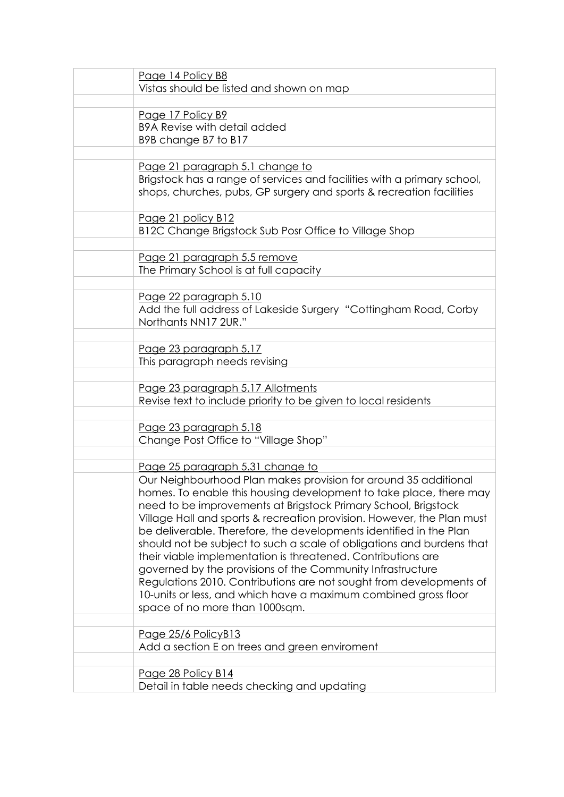| Page 14 Policy B8                                                                          |
|--------------------------------------------------------------------------------------------|
| Vistas should be listed and shown on map                                                   |
|                                                                                            |
| Page 17 Policy B9                                                                          |
| <b>B9A Revise with detail added</b>                                                        |
| B9B change B7 to B17                                                                       |
|                                                                                            |
| Page 21 paragraph 5.1 change to                                                            |
| Brigstock has a range of services and facilities with a primary school,                    |
| shops, churches, pubs, GP surgery and sports & recreation facilities                       |
|                                                                                            |
| Page 21 policy B12                                                                         |
| B12C Change Brigstock Sub Posr Office to Village Shop                                      |
|                                                                                            |
| Page 21 paragraph 5.5 remove                                                               |
| The Primary School is at full capacity                                                     |
|                                                                                            |
| Page 22 paragraph 5.10<br>Add the full address of Lakeside Surgery "Cottingham Road, Corby |
| Northants NN17 2UR."                                                                       |
|                                                                                            |
| Page 23 paragraph 5.17                                                                     |
| This paragraph needs revising                                                              |
|                                                                                            |
| Page 23 paragraph 5.17 Allotments                                                          |
| Revise text to include priority to be given to local residents                             |
|                                                                                            |
| <u>Page 23 paragraph 5.18</u>                                                              |
| Change Post Office to "Village Shop"                                                       |
|                                                                                            |
| Page 25 paragraph 5.31 change to                                                           |
| Our Neighbourhood Plan makes provision for around 35 additional                            |
| homes. To enable this housing development to take place, there may                         |
| need to be improvements at Brigstock Primary School, Brigstock                             |
| Village Hall and sports & recreation provision. However, the Plan must                     |
| be deliverable. Therefore, the developments identified in the Plan                         |
| should not be subject to such a scale of obligations and burdens that                      |
| their viable implementation is threatened. Contributions are                               |
| governed by the provisions of the Community Infrastructure                                 |
| Regulations 2010. Contributions are not sought from developments of                        |
| 10-units or less, and which have a maximum combined gross floor                            |
| space of no more than 1000sqm.                                                             |
|                                                                                            |
| Page 25/6 PolicyB13                                                                        |
| Add a section E on trees and green enviroment                                              |
|                                                                                            |
| Page 28 Policy B14<br>Detail in table needs checking and updating                          |
|                                                                                            |